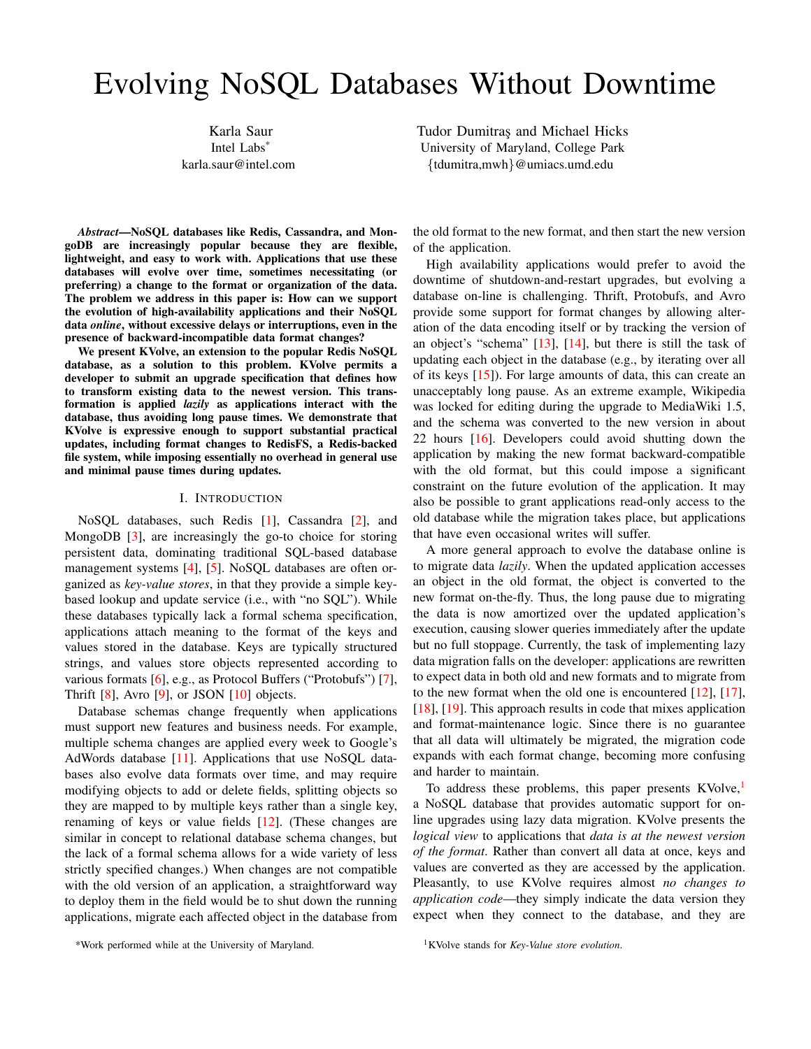# Evolving NoSQL Databases Without Downtime

Karla Saur Intel Labs\* karla.saur@intel.com Tudor Dumitras¸ and Michael Hicks University of Maryland, College Park {tdumitra,mwh}@umiacs.umd.edu

*Abstract*—NoSQL databases like Redis, Cassandra, and MongoDB are increasingly popular because they are flexible, lightweight, and easy to work with. Applications that use these databases will evolve over time, sometimes necessitating (or preferring) a change to the format or organization of the data. The problem we address in this paper is: How can we support the evolution of high-availability applications and their NoSQL data *online*, without excessive delays or interruptions, even in the presence of backward-incompatible data format changes?

We present KVolve, an extension to the popular Redis NoSQL database, as a solution to this problem. KVolve permits a developer to submit an upgrade specification that defines how to transform existing data to the newest version. This transformation is applied *lazily* as applications interact with the database, thus avoiding long pause times. We demonstrate that KVolve is expressive enough to support substantial practical updates, including format changes to RedisFS, a Redis-backed file system, while imposing essentially no overhead in general use and minimal pause times during updates.

## I. INTRODUCTION

<span id="page-0-1"></span>NoSQL databases, such Redis [\[1\]](#page-10-0), Cassandra [\[2\]](#page-10-1), and MongoDB [\[3\]](#page-10-2), are increasingly the go-to choice for storing persistent data, dominating traditional SQL-based database management systems [\[4\]](#page-10-3), [\[5\]](#page-10-4). NoSQL databases are often organized as *key-value stores*, in that they provide a simple keybased lookup and update service (i.e., with "no SQL"). While these databases typically lack a formal schema specification, applications attach meaning to the format of the keys and values stored in the database. Keys are typically structured strings, and values store objects represented according to various formats [\[6\]](#page-10-5), e.g., as Protocol Buffers ("Protobufs") [\[7\]](#page-10-6), Thrift  $[8]$ , Avro  $[9]$ , or JSON  $[10]$  objects.

Database schemas change frequently when applications must support new features and business needs. For example, multiple schema changes are applied every week to Google's AdWords database [\[11\]](#page-10-10). Applications that use NoSQL databases also evolve data formats over time, and may require modifying objects to add or delete fields, splitting objects so they are mapped to by multiple keys rather than a single key, renaming of keys or value fields [\[12\]](#page-10-11). (These changes are similar in concept to relational database schema changes, but the lack of a formal schema allows for a wide variety of less strictly specified changes.) When changes are not compatible with the old version of an application, a straightforward way to deploy them in the field would be to shut down the running applications, migrate each affected object in the database from the old format to the new format, and then start the new version of the application.

High availability applications would prefer to avoid the downtime of shutdown-and-restart upgrades, but evolving a database on-line is challenging. Thrift, Protobufs, and Avro provide some support for format changes by allowing alteration of the data encoding itself or by tracking the version of an object's "schema" [\[13\]](#page-10-12), [\[14\]](#page-10-13), but there is still the task of updating each object in the database (e.g., by iterating over all of its keys [\[15\]](#page-10-14)). For large amounts of data, this can create an unacceptably long pause. As an extreme example, Wikipedia was locked for editing during the upgrade to MediaWiki 1.5, and the schema was converted to the new version in about 22 hours [\[16\]](#page-10-15). Developers could avoid shutting down the application by making the new format backward-compatible with the old format, but this could impose a significant constraint on the future evolution of the application. It may also be possible to grant applications read-only access to the old database while the migration takes place, but applications that have even occasional writes will suffer.

A more general approach to evolve the database online is to migrate data *lazily*. When the updated application accesses an object in the old format, the object is converted to the new format on-the-fly. Thus, the long pause due to migrating the data is now amortized over the updated application's execution, causing slower queries immediately after the update but no full stoppage. Currently, the task of implementing lazy data migration falls on the developer: applications are rewritten to expect data in both old and new formats and to migrate from to the new format when the old one is encountered  $[12]$ ,  $[17]$ , [\[18\]](#page-10-17), [\[19\]](#page-10-18). This approach results in code that mixes application and format-maintenance logic. Since there is no guarantee that all data will ultimately be migrated, the migration code expands with each format change, becoming more confusing and harder to maintain.

To address these problems, this paper presents KVolve,<sup>[1](#page-0-0)</sup> a NoSQL database that provides automatic support for online upgrades using lazy data migration. KVolve presents the *logical view* to applications that *data is at the newest version of the format*. Rather than convert all data at once, keys and values are converted as they are accessed by the application. Pleasantly, to use KVolve requires almost *no changes to application code*—they simply indicate the data version they expect when they connect to the database, and they are

<sup>\*</sup>Work performed while at the University of Maryland.

<span id="page-0-0"></span><sup>1</sup>KVolve stands for *Key-Value store evolution*.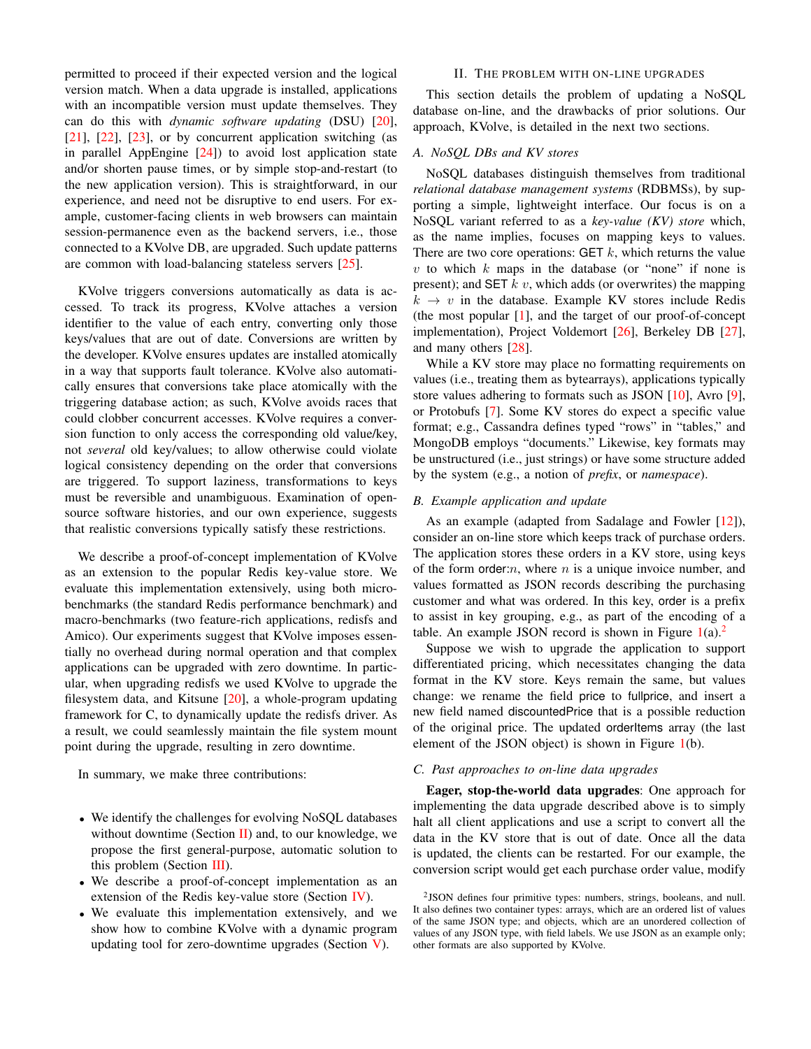permitted to proceed if their expected version and the logical version match. When a data upgrade is installed, applications with an incompatible version must update themselves. They can do this with *dynamic software updating* (DSU) [\[20\]](#page-10-19),  $[21]$ ,  $[22]$ ,  $[23]$ , or by concurrent application switching (as in parallel AppEngine [\[24\]](#page-10-23)) to avoid lost application state and/or shorten pause times, or by simple stop-and-restart (to the new application version). This is straightforward, in our experience, and need not be disruptive to end users. For example, customer-facing clients in web browsers can maintain session-permanence even as the backend servers, i.e., those connected to a KVolve DB, are upgraded. Such update patterns are common with load-balancing stateless servers [\[25\]](#page-10-24).

KVolve triggers conversions automatically as data is accessed. To track its progress, KVolve attaches a version identifier to the value of each entry, converting only those keys/values that are out of date. Conversions are written by the developer. KVolve ensures updates are installed atomically in a way that supports fault tolerance. KVolve also automatically ensures that conversions take place atomically with the triggering database action; as such, KVolve avoids races that could clobber concurrent accesses. KVolve requires a conversion function to only access the corresponding old value/key, not *several* old key/values; to allow otherwise could violate logical consistency depending on the order that conversions are triggered. To support laziness, transformations to keys must be reversible and unambiguous. Examination of opensource software histories, and our own experience, suggests that realistic conversions typically satisfy these restrictions.

We describe a proof-of-concept implementation of KVolve as an extension to the popular Redis key-value store. We evaluate this implementation extensively, using both microbenchmarks (the standard Redis performance benchmark) and macro-benchmarks (two feature-rich applications, redisfs and Amico). Our experiments suggest that KVolve imposes essentially no overhead during normal operation and that complex applications can be upgraded with zero downtime. In particular, when upgrading redisfs we used KVolve to upgrade the filesystem data, and Kitsune [\[20\]](#page-10-19), a whole-program updating framework for C, to dynamically update the redisfs driver. As a result, we could seamlessly maintain the file system mount point during the upgrade, resulting in zero downtime.

In summary, we make three contributions:

- We identify the challenges for evolving NoSQL databases without downtime (Section  $\Pi$ ) and, to our knowledge, we propose the first general-purpose, automatic solution to this problem (Section [III\)](#page-2-0).
- We describe a proof-of-concept implementation as an extension of the Redis key-value store (Section [IV\)](#page-4-0).
- We evaluate this implementation extensively, and we show how to combine KVolve with a dynamic program updating tool for zero-downtime upgrades (Section  $V$ ).

## II. THE PROBLEM WITH ON-LINE UPGRADES

<span id="page-1-0"></span>This section details the problem of updating a NoSQL database on-line, and the drawbacks of prior solutions. Our approach, KVolve, is detailed in the next two sections.

## *A. NoSQL DBs and KV stores*

NoSQL databases distinguish themselves from traditional *relational database management systems* (RDBMSs), by supporting a simple, lightweight interface. Our focus is on a NoSQL variant referred to as a *key-value (KV) store* which, as the name implies, focuses on mapping keys to values. There are two core operations: GET  $k$ , which returns the value  $v$  to which  $k$  maps in the database (or "none" if none is present); and SET  $k$  v, which adds (or overwrites) the mapping  $k \rightarrow v$  in the database. Example KV stores include Redis (the most popular [\[1\]](#page-10-0), and the target of our proof-of-concept implementation), Project Voldemort [\[26\]](#page-10-25), Berkeley DB [\[27\]](#page-10-26), and many others [\[28\]](#page-10-27).

While a KV store may place no formatting requirements on values (i.e., treating them as bytearrays), applications typically store values adhering to formats such as JSON [\[10\]](#page-10-9), Avro [\[9\]](#page-10-8), or Protobufs [\[7\]](#page-10-6). Some KV stores do expect a specific value format; e.g., Cassandra defines typed "rows" in "tables," and MongoDB employs "documents." Likewise, key formats may be unstructured (i.e., just strings) or have some structure added by the system (e.g., a notion of *prefix*, or *namespace*).

## <span id="page-1-2"></span>*B. Example application and update*

As an example (adapted from Sadalage and Fowler [\[12\]](#page-10-11)), consider an on-line store which keeps track of purchase orders. The application stores these orders in a KV store, using keys of the form order: $n$ , where  $n$  is a unique invoice number, and values formatted as JSON records describing the purchasing customer and what was ordered. In this key, order is a prefix to assist in key grouping, e.g., as part of the encoding of a table. An example JSON record is shown in Figure  $1(a)$  $1(a)$ .<sup>[2](#page-1-1)</sup>

Suppose we wish to upgrade the application to support differentiated pricing, which necessitates changing the data format in the KV store. Keys remain the same, but values change: we rename the field price to fullprice, and insert a new field named discountedPrice that is a possible reduction of the original price. The updated orderItems array (the last element of the JSON object) is shown in Figure  $1(b)$  $1(b)$ .

#### *C. Past approaches to on-line data upgrades*

Eager, stop-the-world data upgrades: One approach for implementing the data upgrade described above is to simply halt all client applications and use a script to convert all the data in the KV store that is out of date. Once all the data is updated, the clients can be restarted. For our example, the conversion script would get each purchase order value, modify

<span id="page-1-1"></span><sup>&</sup>lt;sup>2</sup>JSON defines four primitive types: numbers, strings, booleans, and null. It also defines two container types: arrays, which are an ordered list of values of the same JSON type; and objects, which are an unordered collection of values of any JSON type, with field labels. We use JSON as an example only; other formats are also supported by KVolve.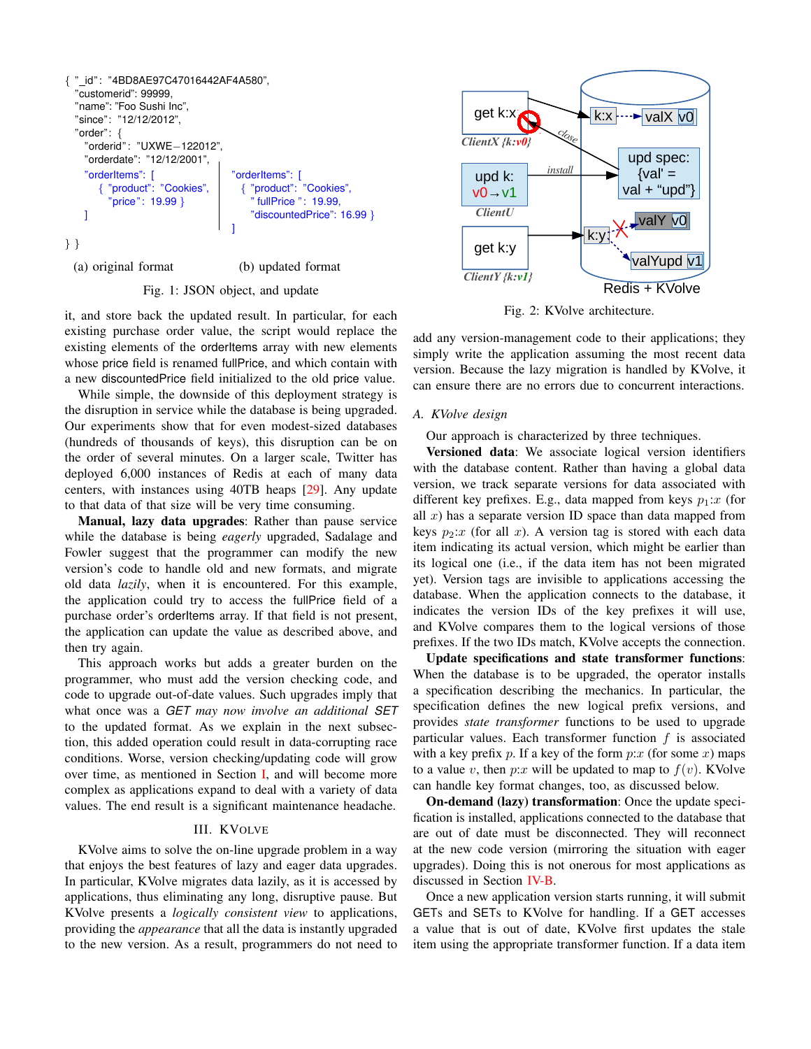```
{ " id" : "4BD8AE97C47016442AF4A580",
  "customerid": 99999,
  "name": "Foo Sushi Inc",
  "since": "12/12/2012",
  "order": {
    "orderid" : "UXWE−122012",
    "orderdate": "12/12/2001",
    "orderItems": [
      { "product": "Cookies",
         'price": 19.99 }
                                  "orderItems": [
                                     { "product": "Cookies",
                                       fullPrice ": 19.99,
                                      "discountedPrice": 16.99 }
                                 ]
} }
 (a) original format (b) updated format
```
Fig. 1: JSON object, and update

it, and store back the updated result. In particular, for each existing purchase order value, the script would replace the existing elements of the orderItems array with new elements whose price field is renamed fullPrice, and which contain with a new discountedPrice field initialized to the old price value.

While simple, the downside of this deployment strategy is the disruption in service while the database is being upgraded. Our experiments show that for even modest-sized databases (hundreds of thousands of keys), this disruption can be on the order of several minutes. On a larger scale, Twitter has deployed 6,000 instances of Redis at each of many data centers, with instances using 40TB heaps [\[29\]](#page-10-28). Any update to that data of that size will be very time consuming.

Manual, lazy data upgrades: Rather than pause service while the database is being *eagerly* upgraded, Sadalage and Fowler suggest that the programmer can modify the new version's code to handle old and new formats, and migrate old data *lazily*, when it is encountered. For this example, the application could try to access the fullPrice field of a purchase order's orderItems array. If that field is not present, the application can update the value as described above, and then try again.

This approach works but adds a greater burden on the programmer, who must add the version checking code, and code to upgrade out-of-date values. Such upgrades imply that what once was a *GET may now involve an additional SET* to the updated format. As we explain in the next subsection, this added operation could result in data-corrupting race conditions. Worse, version checking/updating code will grow over time, as mentioned in Section [I,](#page-0-1) and will become more complex as applications expand to deal with a variety of data values. The end result is a significant maintenance headache.

## III. KVOLVE

<span id="page-2-0"></span>KVolve aims to solve the on-line upgrade problem in a way that enjoys the best features of lazy and eager data upgrades. In particular, KVolve migrates data lazily, as it is accessed by applications, thus eliminating any long, disruptive pause. But KVolve presents a *logically consistent view* to applications, providing the *appearance* that all the data is instantly upgraded to the new version. As a result, programmers do not need to

<span id="page-2-2"></span>

Fig. 2: KVolve architecture.

add any version-management code to their applications; they simply write the application assuming the most recent data version. Because the lazy migration is handled by KVolve, it can ensure there are no errors due to concurrent interactions.

## *A. KVolve design*

Our approach is characterized by three techniques.

Versioned data: We associate logical version identifiers with the database content. Rather than having a global data version, we track separate versions for data associated with different key prefixes. E.g., data mapped from keys  $p_1:x$  (for all  $x$ ) has a separate version ID space than data mapped from keys  $p_2:x$  (for all x). A version tag is stored with each data item indicating its actual version, which might be earlier than its logical one (i.e., if the data item has not been migrated yet). Version tags are invisible to applications accessing the database. When the application connects to the database, it indicates the version IDs of the key prefixes it will use, and KVolve compares them to the logical versions of those prefixes. If the two IDs match, KVolve accepts the connection.

Update specifications and state transformer functions: When the database is to be upgraded, the operator installs a specification describing the mechanics. In particular, the specification defines the new logical prefix versions, and provides *state transformer* functions to be used to upgrade particular values. Each transformer function  $f$  is associated with a key prefix p. If a key of the form  $p:x$  (for some x) maps to a value v, then p:x will be updated to map to  $f(v)$ . KVolve can handle key format changes, too, as discussed below.

On-demand (lazy) transformation: Once the update specification is installed, applications connected to the database that are out of date must be disconnected. They will reconnect at the new code version (mirroring the situation with eager upgrades). Doing this is not onerous for most applications as discussed in Section [IV-B.](#page-4-1)

Once a new application version starts running, it will submit GETs and SETs to KVolve for handling. If a GET accesses a value that is out of date, KVolve first updates the stale item using the appropriate transformer function. If a data item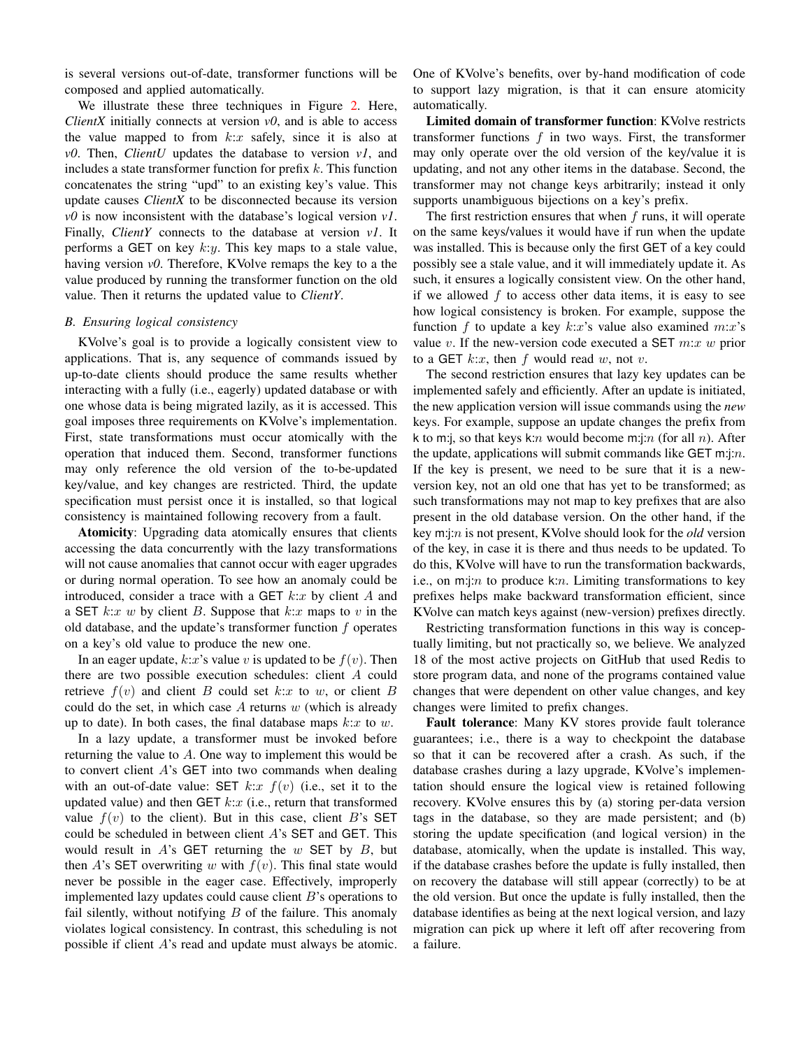is several versions out-of-date, transformer functions will be composed and applied automatically.

We illustrate these three techniques in Figure [2.](#page-2-2) Here, *ClientX* initially connects at version  $v0$ , and is able to access the value mapped to from  $k:x$  safely, since it is also at *v0*. Then, *ClientU* updates the database to version *v1*, and includes a state transformer function for prefix  $k$ . This function concatenates the string "upd" to an existing key's value. This update causes *ClientX* to be disconnected because its version *v0* is now inconsistent with the database's logical version *v1*. Finally, *ClientY* connects to the database at version *v1*. It performs a GET on key  $k:y$ . This key maps to a stale value, having version *v0*. Therefore, KVolve remaps the key to a the value produced by running the transformer function on the old value. Then it returns the updated value to *ClientY*.

## <span id="page-3-0"></span>*B. Ensuring logical consistency*

KVolve's goal is to provide a logically consistent view to applications. That is, any sequence of commands issued by up-to-date clients should produce the same results whether interacting with a fully (i.e., eagerly) updated database or with one whose data is being migrated lazily, as it is accessed. This goal imposes three requirements on KVolve's implementation. First, state transformations must occur atomically with the operation that induced them. Second, transformer functions may only reference the old version of the to-be-updated key/value, and key changes are restricted. Third, the update specification must persist once it is installed, so that logical consistency is maintained following recovery from a fault.

Atomicity: Upgrading data atomically ensures that clients accessing the data concurrently with the lazy transformations will not cause anomalies that cannot occur with eager upgrades or during normal operation. To see how an anomaly could be introduced, consider a trace with a GET  $k:x$  by client A and a SET  $k:x$  w by client B. Suppose that  $k:x$  maps to v in the old database, and the update's transformer function  $f$  operates on a key's old value to produce the new one.

In an eager update,  $k:x$ 's value v is updated to be  $f(v)$ . Then there are two possible execution schedules: client A could retrieve  $f(v)$  and client B could set k:x to w, or client B could do the set, in which case  $A$  returns  $w$  (which is already up to date). In both cases, the final database maps  $k:x$  to w.

In a lazy update, a transformer must be invoked before returning the value to A. One way to implement this would be to convert client A's GET into two commands when dealing with an out-of-date value: SET  $k:x f(v)$  (i.e., set it to the updated value) and then GET  $k:x$  (i.e., return that transformed value  $f(v)$  to the client). But in this case, client B's SET could be scheduled in between client A's SET and GET. This would result in  $A$ 's GET returning the  $w$  SET by  $B$ , but then A's SET overwriting w with  $f(v)$ . This final state would never be possible in the eager case. Effectively, improperly implemented lazy updates could cause client  $B$ 's operations to fail silently, without notifying  $B$  of the failure. This anomaly violates logical consistency. In contrast, this scheduling is not possible if client A's read and update must always be atomic. One of KVolve's benefits, over by-hand modification of code to support lazy migration, is that it can ensure atomicity automatically.

Limited domain of transformer function: KVolve restricts transformer functions  $f$  in two ways. First, the transformer may only operate over the old version of the key/value it is updating, and not any other items in the database. Second, the transformer may not change keys arbitrarily; instead it only supports unambiguous bijections on a key's prefix.

The first restriction ensures that when  $f$  runs, it will operate on the same keys/values it would have if run when the update was installed. This is because only the first GET of a key could possibly see a stale value, and it will immediately update it. As such, it ensures a logically consistent view. On the other hand, if we allowed  $f$  to access other data items, it is easy to see how logical consistency is broken. For example, suppose the function f to update a key  $k:x$ 's value also examined  $m:x$ 's value v. If the new-version code executed a SET  $m:x$  w prior to a GET  $k:x$ , then f would read w, not v.

The second restriction ensures that lazy key updates can be implemented safely and efficiently. After an update is initiated, the new application version will issue commands using the *new* keys. For example, suppose an update changes the prefix from k to m:j, so that keys k:n would become m:j:n (for all n). After the update, applications will submit commands like GET m:j: $n$ . If the key is present, we need to be sure that it is a newversion key, not an old one that has yet to be transformed; as such transformations may not map to key prefixes that are also present in the old database version. On the other hand, if the key m:j:n is not present, KVolve should look for the *old* version of the key, in case it is there and thus needs to be updated. To do this, KVolve will have to run the transformation backwards, i.e., on m: in to produce k:n. Limiting transformations to key prefixes helps make backward transformation efficient, since KVolve can match keys against (new-version) prefixes directly.

Restricting transformation functions in this way is conceptually limiting, but not practically so, we believe. We analyzed 18 of the most active projects on GitHub that used Redis to store program data, and none of the programs contained value changes that were dependent on other value changes, and key changes were limited to prefix changes.

Fault tolerance: Many KV stores provide fault tolerance guarantees; i.e., there is a way to checkpoint the database so that it can be recovered after a crash. As such, if the database crashes during a lazy upgrade, KVolve's implementation should ensure the logical view is retained following recovery. KVolve ensures this by (a) storing per-data version tags in the database, so they are made persistent; and (b) storing the update specification (and logical version) in the database, atomically, when the update is installed. This way, if the database crashes before the update is fully installed, then on recovery the database will still appear (correctly) to be at the old version. But once the update is fully installed, then the database identifies as being at the next logical version, and lazy migration can pick up where it left off after recovering from a failure.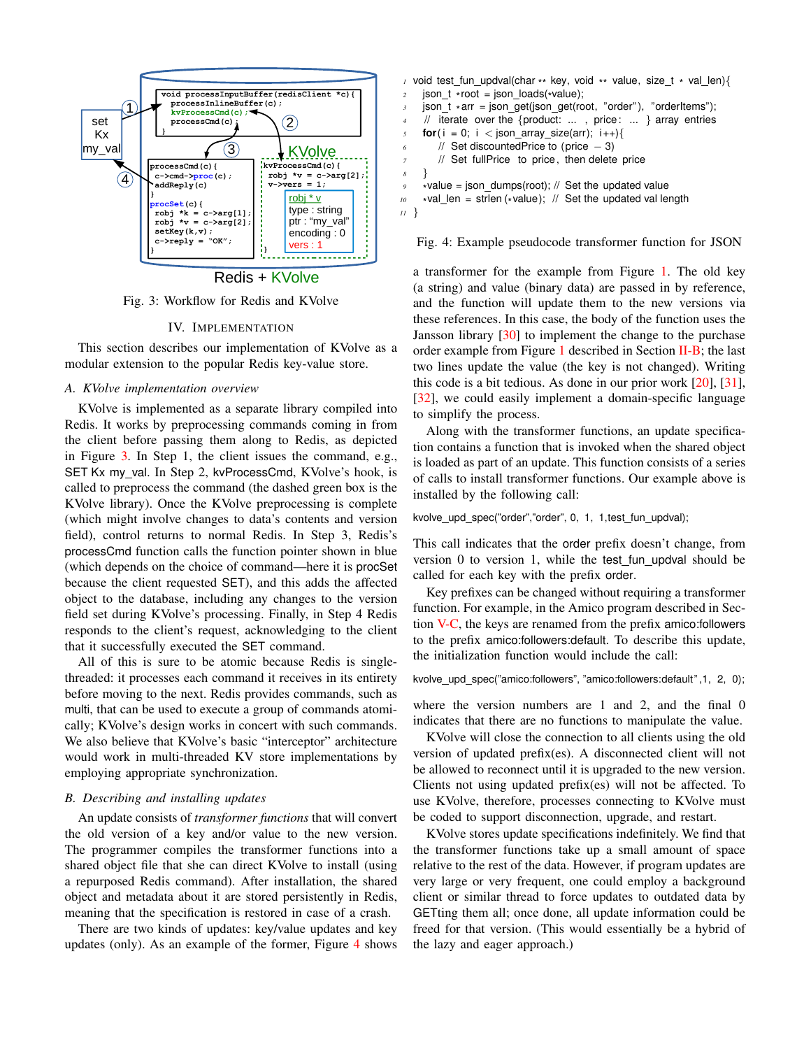<span id="page-4-2"></span>

## Fig. 3: Workflow for Redis and KVolve

#### IV. IMPLEMENTATION

<span id="page-4-0"></span>This section describes our implementation of KVolve as a modular extension to the popular Redis key-value store.

#### <span id="page-4-4"></span>*A. KVolve implementation overview*

KVolve is implemented as a separate library compiled into Redis. It works by preprocessing commands coming in from the client before passing them along to Redis, as depicted in Figure [3.](#page-4-2) In Step 1, the client issues the command, e.g., SET Kx my\_val. In Step 2, kvProcessCmd, KVolve's hook, is called to preprocess the command (the dashed green box is the KVolve library). Once the KVolve preprocessing is complete (which might involve changes to data's contents and version field), control returns to normal Redis. In Step 3, Redis's processCmd function calls the function pointer shown in blue (which depends on the choice of command—here it is procSet because the client requested SET), and this adds the affected object to the database, including any changes to the version field set during KVolve's processing. Finally, in Step 4 Redis responds to the client's request, acknowledging to the client that it successfully executed the SET command.

All of this is sure to be atomic because Redis is singlethreaded: it processes each command it receives in its entirety before moving to the next. Redis provides commands, such as multi, that can be used to execute a group of commands atomically; KVolve's design works in concert with such commands. We also believe that KVolve's basic "interceptor" architecture would work in multi-threaded KV store implementations by employing appropriate synchronization.

## <span id="page-4-1"></span>*B. Describing and installing updates*

An update consists of *transformer functions* that will convert the old version of a key and/or value to the new version. The programmer compiles the transformer functions into a shared object file that she can direct KVolve to install (using a repurposed Redis command). After installation, the shared object and metadata about it are stored persistently in Redis, meaning that the specification is restored in case of a crash.

There are two kinds of updates: key/value updates and key updates (only). As an example of the former, Figure [4](#page-4-3) shows

```
1 void test_fun_updval(char ** key, void ** value, size_t * val_len){
 2 json t
*
root = json loads(
*
value);
 3 json t
*
arr = json get(json get(root, "order" ), "orderItems");
4 // iterate over the {product: ... , price: ... } array entries
5 for(i = 0; i < json_array_size(arr); i++){
6 // Set discountedPrice to (price − 3)
7 // Set fullPrice to price, then delete price
8 }
9
     *
value = json dumps(root); // Set the updated value
10
     *val_len = strlen (*value); // Set the updated val length
11 }
```
#### Fig. 4: Example pseudocode transformer function for JSON

a transformer for the example from Figure [1.](#page-2-1) The old key (a string) and value (binary data) are passed in by reference, and the function will update them to the new versions via these references. In this case, the body of the function uses the Jansson library [\[30\]](#page-10-29) to implement the change to the purchase order example from Figure [1](#page-2-1) described in Section [II-B;](#page-1-2) the last two lines update the value (the key is not changed). Writing this code is a bit tedious. As done in our prior work [\[20\]](#page-10-19), [\[31\]](#page-10-30), [\[32\]](#page-10-31), we could easily implement a domain-specific language to simplify the process.

Along with the transformer functions, an update specification contains a function that is invoked when the shared object is loaded as part of an update. This function consists of a series of calls to install transformer functions. Our example above is installed by the following call:

## kvolve\_upd\_spec("order","order", 0, 1, 1,test\_fun\_updval);

This call indicates that the order prefix doesn't change, from version  $0$  to version 1, while the test\_fun\_updval should be called for each key with the prefix order.

Key prefixes can be changed without requiring a transformer function. For example, in the Amico program described in Section [V-C,](#page-8-0) the keys are renamed from the prefix amico:followers to the prefix amico:followers:default. To describe this update, the initialization function would include the call:

## kvolve\_upd\_spec("amico:followers", "amico:followers:default",1, 2, 0);

where the version numbers are 1 and 2, and the final 0 indicates that there are no functions to manipulate the value.

KVolve will close the connection to all clients using the old version of updated prefix(es). A disconnected client will not be allowed to reconnect until it is upgraded to the new version. Clients not using updated prefix(es) will not be affected. To use KVolve, therefore, processes connecting to KVolve must be coded to support disconnection, upgrade, and restart.

KVolve stores update specifications indefinitely. We find that the transformer functions take up a small amount of space relative to the rest of the data. However, if program updates are very large or very frequent, one could employ a background client or similar thread to force updates to outdated data by GETting them all; once done, all update information could be freed for that version. (This would essentially be a hybrid of the lazy and eager approach.)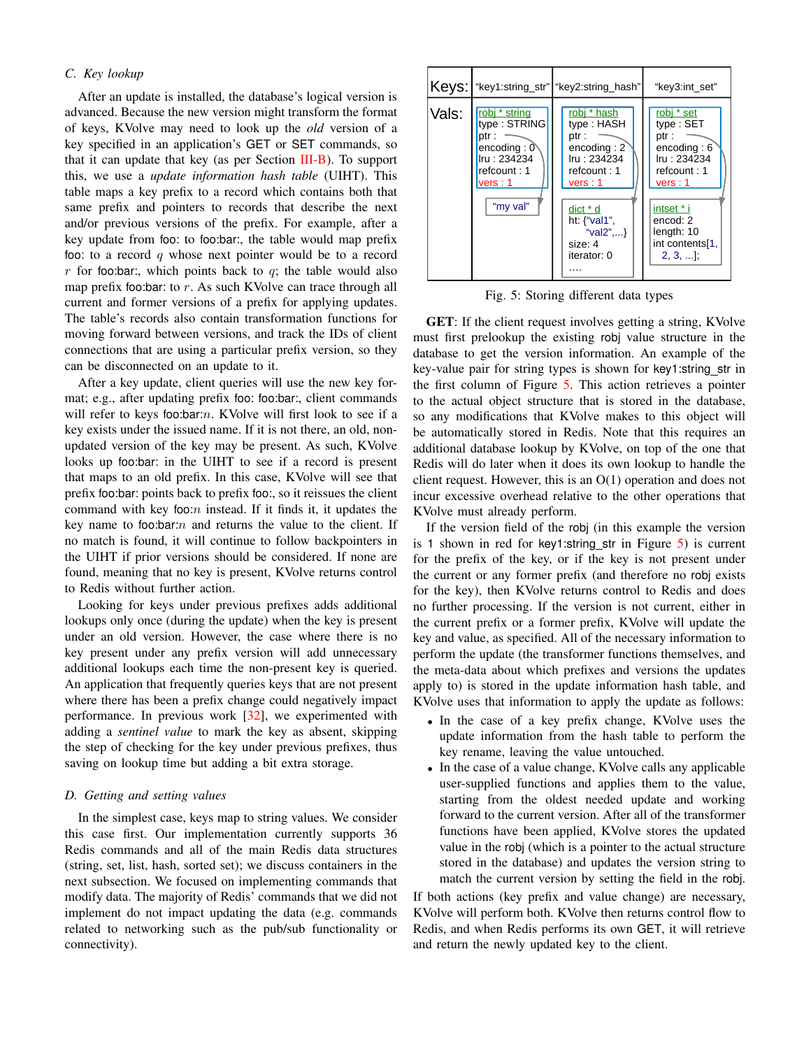## *C. Key lookup*

After an update is installed, the database's logical version is advanced. Because the new version might transform the format of keys, KVolve may need to look up the *old* version of a key specified in an application's GET or SET commands, so that it can update that key (as per Section  $III-B$ ). To support this, we use a *update information hash table* (UIHT). This table maps a key prefix to a record which contains both that same prefix and pointers to records that describe the next and/or previous versions of the prefix. For example, after a key update from foo: to foo:bar:, the table would map prefix foo: to a record  $q$  whose next pointer would be to a record r for foo:bar:, which points back to  $q$ ; the table would also map prefix foo:bar: to  $r$ . As such KVolve can trace through all current and former versions of a prefix for applying updates. The table's records also contain transformation functions for moving forward between versions, and track the IDs of client connections that are using a particular prefix version, so they can be disconnected on an update to it.

After a key update, client queries will use the new key format; e.g., after updating prefix foo: foo:bar:, client commands will refer to keys foo:bar:n. KVolve will first look to see if a key exists under the issued name. If it is not there, an old, nonupdated version of the key may be present. As such, KVolve looks up foo:bar: in the UIHT to see if a record is present that maps to an old prefix. In this case, KVolve will see that prefix foo:bar: points back to prefix foo:, so it reissues the client command with key foo: $n$  instead. If it finds it, it updates the key name to foo:bar: $n$  and returns the value to the client. If no match is found, it will continue to follow backpointers in the UIHT if prior versions should be considered. If none are found, meaning that no key is present, KVolve returns control to Redis without further action.

Looking for keys under previous prefixes adds additional lookups only once (during the update) when the key is present under an old version. However, the case where there is no key present under any prefix version will add unnecessary additional lookups each time the non-present key is queried. An application that frequently queries keys that are not present where there has been a prefix change could negatively impact performance. In previous work [\[32\]](#page-10-31), we experimented with adding a *sentinel value* to mark the key as absent, skipping the step of checking for the key under previous prefixes, thus saving on lookup time but adding a bit extra storage.

## *D. Getting and setting values*

In the simplest case, keys map to string values. We consider this case first. Our implementation currently supports 36 Redis commands and all of the main Redis data structures (string, set, list, hash, sorted set); we discuss containers in the next subsection. We focused on implementing commands that modify data. The majority of Redis' commands that we did not implement do not impact updating the data (e.g. commands related to networking such as the pub/sub functionality or connectivity).

<span id="page-5-0"></span>

Fig. 5: Storing different data types

GET: If the client request involves getting a string, KVolve must first prelookup the existing robj value structure in the database to get the version information. An example of the key-value pair for string types is shown for key1:string\_str in the first column of Figure [5.](#page-5-0) This action retrieves a pointer to the actual object structure that is stored in the database, so any modifications that KVolve makes to this object will be automatically stored in Redis. Note that this requires an additional database lookup by KVolve, on top of the one that Redis will do later when it does its own lookup to handle the client request. However, this is an O(1) operation and does not incur excessive overhead relative to the other operations that KVolve must already perform.

If the version field of the robj (in this example the version is 1 shown in red for key1:string str in Figure  $5$ ) is current for the prefix of the key, or if the key is not present under the current or any former prefix (and therefore no robj exists for the key), then KVolve returns control to Redis and does no further processing. If the version is not current, either in the current prefix or a former prefix, KVolve will update the key and value, as specified. All of the necessary information to perform the update (the transformer functions themselves, and the meta-data about which prefixes and versions the updates apply to) is stored in the update information hash table, and KVolve uses that information to apply the update as follows:

- In the case of a key prefix change, KVolve uses the update information from the hash table to perform the key rename, leaving the value untouched.
- In the case of a value change, KVolve calls any applicable user-supplied functions and applies them to the value, starting from the oldest needed update and working forward to the current version. After all of the transformer functions have been applied, KVolve stores the updated value in the robj (which is a pointer to the actual structure stored in the database) and updates the version string to match the current version by setting the field in the robj.

If both actions (key prefix and value change) are necessary, KVolve will perform both. KVolve then returns control flow to Redis, and when Redis performs its own GET, it will retrieve and return the newly updated key to the client.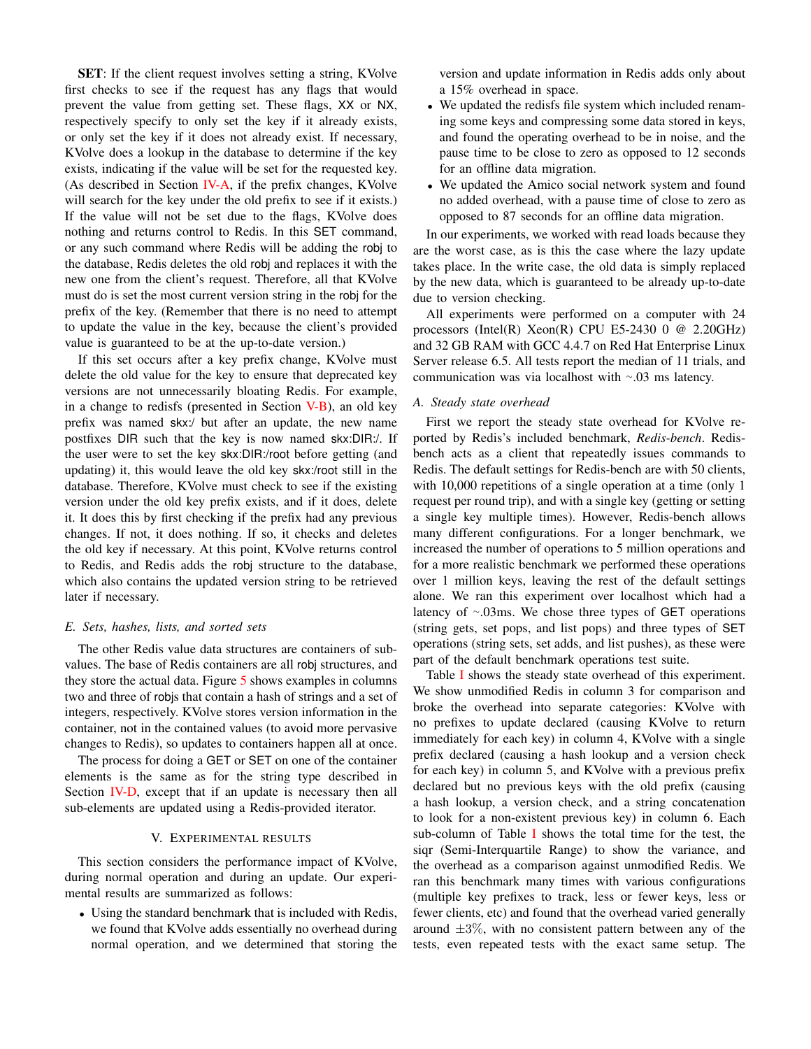SET: If the client request involves setting a string, KVolve first checks to see if the request has any flags that would prevent the value from getting set. These flags, XX or NX, respectively specify to only set the key if it already exists, or only set the key if it does not already exist. If necessary, KVolve does a lookup in the database to determine if the key exists, indicating if the value will be set for the requested key. (As described in Section [IV-A,](#page-4-4) if the prefix changes, KVolve will search for the key under the old prefix to see if it exists.) If the value will not be set due to the flags, KVolve does nothing and returns control to Redis. In this SET command, or any such command where Redis will be adding the robj to the database, Redis deletes the old robj and replaces it with the new one from the client's request. Therefore, all that KVolve must do is set the most current version string in the robj for the prefix of the key. (Remember that there is no need to attempt to update the value in the key, because the client's provided value is guaranteed to be at the up-to-date version.)

If this set occurs after a key prefix change, KVolve must delete the old value for the key to ensure that deprecated key versions are not unnecessarily bloating Redis. For example, in a change to redisfs (presented in Section  $V-B$ ), an old key prefix was named skx:/ but after an update, the new name postfixes DIR such that the key is now named skx:DIR:/. If the user were to set the key skx:DIR:/root before getting (and updating) it, this would leave the old key skx:/root still in the database. Therefore, KVolve must check to see if the existing version under the old key prefix exists, and if it does, delete it. It does this by first checking if the prefix had any previous changes. If not, it does nothing. If so, it checks and deletes the old key if necessary. At this point, KVolve returns control to Redis, and Redis adds the robj structure to the database, which also contains the updated version string to be retrieved later if necessary.

## *E. Sets, hashes, lists, and sorted sets*

The other Redis value data structures are containers of subvalues. The base of Redis containers are all robj structures, and they store the actual data. Figure [5](#page-5-0) shows examples in columns two and three of robjs that contain a hash of strings and a set of integers, respectively. KVolve stores version information in the container, not in the contained values (to avoid more pervasive changes to Redis), so updates to containers happen all at once.

The process for doing a GET or SET on one of the container elements is the same as for the string type described in Section [IV-D,](#page-5-0) except that if an update is necessary then all sub-elements are updated using a Redis-provided iterator.

## V. EXPERIMENTAL RESULTS

<span id="page-6-0"></span>This section considers the performance impact of KVolve, during normal operation and during an update. Our experimental results are summarized as follows:

• Using the standard benchmark that is included with Redis, we found that KVolve adds essentially no overhead during normal operation, and we determined that storing the

version and update information in Redis adds only about a 15% overhead in space.

- We updated the redisfs file system which included renaming some keys and compressing some data stored in keys, and found the operating overhead to be in noise, and the pause time to be close to zero as opposed to 12 seconds for an offline data migration.
- We updated the Amico social network system and found no added overhead, with a pause time of close to zero as opposed to 87 seconds for an offline data migration.

In our experiments, we worked with read loads because they are the worst case, as is this the case where the lazy update takes place. In the write case, the old data is simply replaced by the new data, which is guaranteed to be already up-to-date due to version checking.

All experiments were performed on a computer with 24 processors (Intel(R) Xeon(R) CPU E5-2430 0  $@$  2.20GHz) and 32 GB RAM with GCC 4.4.7 on Red Hat Enterprise Linux Server release 6.5. All tests report the median of 11 trials, and communication was via localhost with <sup>∼</sup>.03 ms latency.

## *A. Steady state overhead*

First we report the steady state overhead for KVolve reported by Redis's included benchmark, *Redis-bench*. Redisbench acts as a client that repeatedly issues commands to Redis. The default settings for Redis-bench are with 50 clients, with 10,000 repetitions of a single operation at a time (only 1) request per round trip), and with a single key (getting or setting a single key multiple times). However, Redis-bench allows many different configurations. For a longer benchmark, we increased the number of operations to 5 million operations and for a more realistic benchmark we performed these operations over 1 million keys, leaving the rest of the default settings alone. We ran this experiment over localhost which had a latency of <sup>∼</sup>.03ms. We chose three types of GET operations (string gets, set pops, and list pops) and three types of SET operations (string sets, set adds, and list pushes), as these were part of the default benchmark operations test suite.

Table [I](#page-7-1) shows the steady state overhead of this experiment. We show unmodified Redis in column 3 for comparison and broke the overhead into separate categories: KVolve with no prefixes to update declared (causing KVolve to return immediately for each key) in column 4, KVolve with a single prefix declared (causing a hash lookup and a version check for each key) in column 5, and KVolve with a previous prefix declared but no previous keys with the old prefix (causing a hash lookup, a version check, and a string concatenation to look for a non-existent previous key) in column 6. Each sub-column of Table [I](#page-7-1) shows the total time for the test, the siqr (Semi-Interquartile Range) to show the variance, and the overhead as a comparison against unmodified Redis. We ran this benchmark many times with various configurations (multiple key prefixes to track, less or fewer keys, less or fewer clients, etc) and found that the overhead varied generally around  $\pm 3\%$ , with no consistent pattern between any of the tests, even repeated tests with the exact same setup. The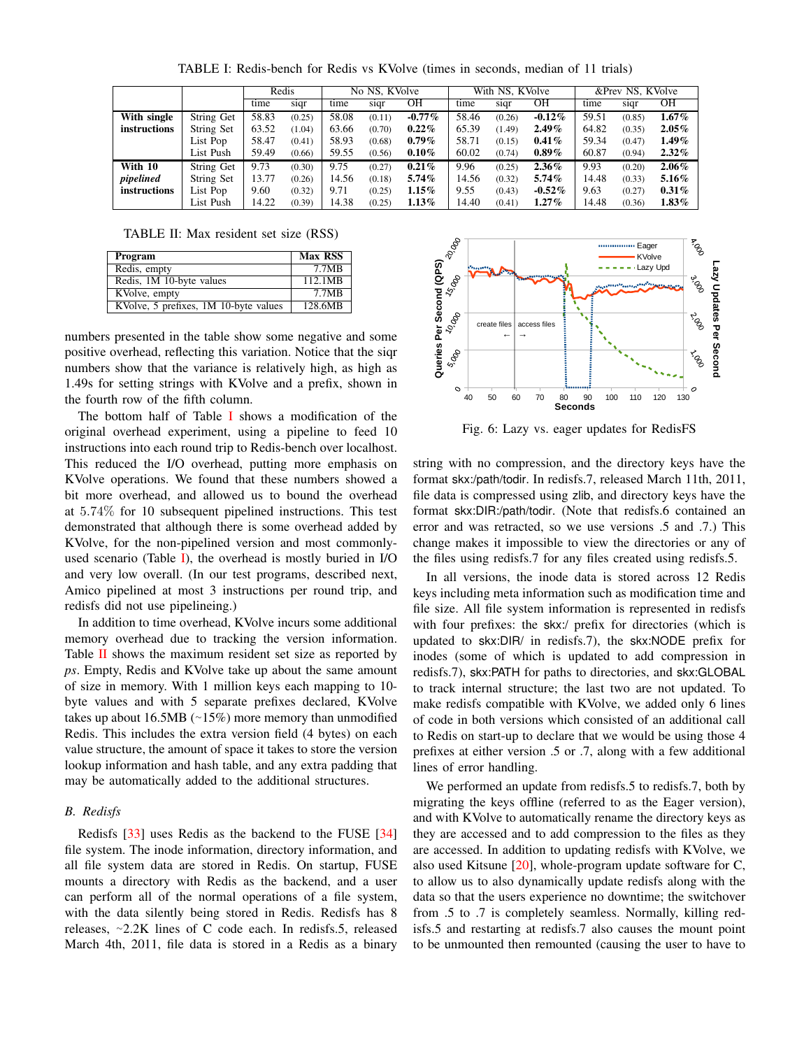<span id="page-7-1"></span>

|              |            | Redis |        | No NS, KVolve |        |           | With NS, KVolve |        |           | &Prev NS, KVolve |        |          |
|--------------|------------|-------|--------|---------------|--------|-----------|-----------------|--------|-----------|------------------|--------|----------|
|              |            | time  | sigr   | time          | sigr   | OН        | time            | sigr   | OН        | time             | sigr   | OН       |
| With single  | String Get | 58.83 | (0.25) | 58.08         | (0.11) | $-0.77\%$ | 58.46           | (0.26) | $-0.12\%$ | 59.51            | (0.85) | $1.67\%$ |
| instructions | String Set | 63.52 | (1.04) | 63.66         | (0.70) | $0.22\%$  | 65.39           | (1.49) | $2.49\%$  | 64.82            | (0.35) | $2.05\%$ |
|              | List Pop   | 58.47 | (0.41) | 58.93         | (0.68) | $0.79\%$  | 58.71           | (0.15) | $0.41\%$  | 59.34            | (0.47) | $1.49\%$ |
|              | List Push  | 59.49 | (0.66) | 59.55         | (0.56) | $0.10\%$  | 60.02           | (0.74) | $0.89\%$  | 60.87            | (0.94) | $2.32\%$ |
| With 10      | String Get | 9.73  | (0.30) | 9.75          | (0.27) | $0.21\%$  | 9.96            | (0.25) | $2.36\%$  | 9.93             | (0.20) | $2.06\%$ |
| pipelined    | String Set | 13.77 | (0.26) | 14.56         | (0.18) | $5.74\%$  | 14.56           | (0.32) | 5.74%     | 14.48            | (0.33) | $5.16\%$ |
| instructions | List Pop   | 9.60  | (0.32) | 9.71          | (0.25) | $1.15\%$  | 9.55            | (0.43) | $-0.52\%$ | 9.63             | (0.27) | $0.31\%$ |
|              | List Push  | 14.22 | (0.39) | 14.38         | (0.25) | $1.13\%$  | 14.40           | (0.41) | $1.27\%$  | 14.48            | (0.36) | $1.83\%$ |

TABLE I: Redis-bench for Redis vs KVolve (times in seconds, median of 11 trials)

TABLE II: Max resident set size (RSS)

<span id="page-7-2"></span>

| Program                               | <b>Max RSS</b> |
|---------------------------------------|----------------|
| Redis, empty                          | 7.7MB          |
| Redis, 1M 10-byte values              | 112.1MB        |
| KVolve, empty                         | 7.7MB          |
| KVolve, 5 prefixes, 1M 10-byte values | 128.6MB        |

numbers presented in the table show some negative and some positive overhead, reflecting this variation. Notice that the siqr numbers show that the variance is relatively high, as high as 1.49s for setting strings with KVolve and a prefix, shown in the fourth row of the fifth column.

The bottom half of Table [I](#page-7-1) shows a modification of the original overhead experiment, using a pipeline to feed 10 instructions into each round trip to Redis-bench over localhost. This reduced the I/O overhead, putting more emphasis on KVolve operations. We found that these numbers showed a bit more overhead, and allowed us to bound the overhead at 5.74% for 10 subsequent pipelined instructions. This test demonstrated that although there is some overhead added by KVolve, for the non-pipelined version and most commonlyused scenario (Table [I\)](#page-7-1), the overhead is mostly buried in I/O and very low overall. (In our test programs, described next, Amico pipelined at most 3 instructions per round trip, and redisfs did not use pipelineing.)

In addition to time overhead, KVolve incurs some additional memory overhead due to tracking the version information. Table  $II$  shows the maximum resident set size as reported by *ps*. Empty, Redis and KVolve take up about the same amount of size in memory. With 1 million keys each mapping to 10 byte values and with 5 separate prefixes declared, KVolve takes up about 16.5MB (∼15%) more memory than unmodified Redis. This includes the extra version field (4 bytes) on each value structure, the amount of space it takes to store the version lookup information and hash table, and any extra padding that may be automatically added to the additional structures.

#### <span id="page-7-0"></span>*B. Redisfs*

Redisfs [\[33\]](#page-10-32) uses Redis as the backend to the FUSE [\[34\]](#page-10-33) file system. The inode information, directory information, and all file system data are stored in Redis. On startup, FUSE mounts a directory with Redis as the backend, and a user can perform all of the normal operations of a file system, with the data silently being stored in Redis. Redisfs has 8 releases, <sup>∼</sup>2.2K lines of C code each. In redisfs.5, released March 4th, 2011, file data is stored in a Redis as a binary

<span id="page-7-3"></span>

Fig. 6: Lazy vs. eager updates for RedisFS

string with no compression, and the directory keys have the format skx:/path/todir. In redisfs.7, released March 11th, 2011, file data is compressed using zlib, and directory keys have the format skx:DIR:/path/todir. (Note that redisfs.6 contained an error and was retracted, so we use versions .5 and .7.) This change makes it impossible to view the directories or any of the files using redisfs.7 for any files created using redisfs.5.

In all versions, the inode data is stored across 12 Redis keys including meta information such as modification time and file size. All file system information is represented in redisfs with four prefixes: the skx:/ prefix for directories (which is updated to skx:DIR/ in redisfs.7), the skx:NODE prefix for inodes (some of which is updated to add compression in redisfs.7), skx:PATH for paths to directories, and skx:GLOBAL to track internal structure; the last two are not updated. To make redisfs compatible with KVolve, we added only 6 lines of code in both versions which consisted of an additional call to Redis on start-up to declare that we would be using those 4 prefixes at either version .5 or .7, along with a few additional lines of error handling.

We performed an update from redisfs.5 to redisfs.7, both by migrating the keys offline (referred to as the Eager version), and with KVolve to automatically rename the directory keys as they are accessed and to add compression to the files as they are accessed. In addition to updating redisfs with KVolve, we also used Kitsune [\[20\]](#page-10-19), whole-program update software for C, to allow us to also dynamically update redisfs along with the data so that the users experience no downtime; the switchover from .5 to .7 is completely seamless. Normally, killing redisfs.5 and restarting at redisfs.7 also causes the mount point to be unmounted then remounted (causing the user to have to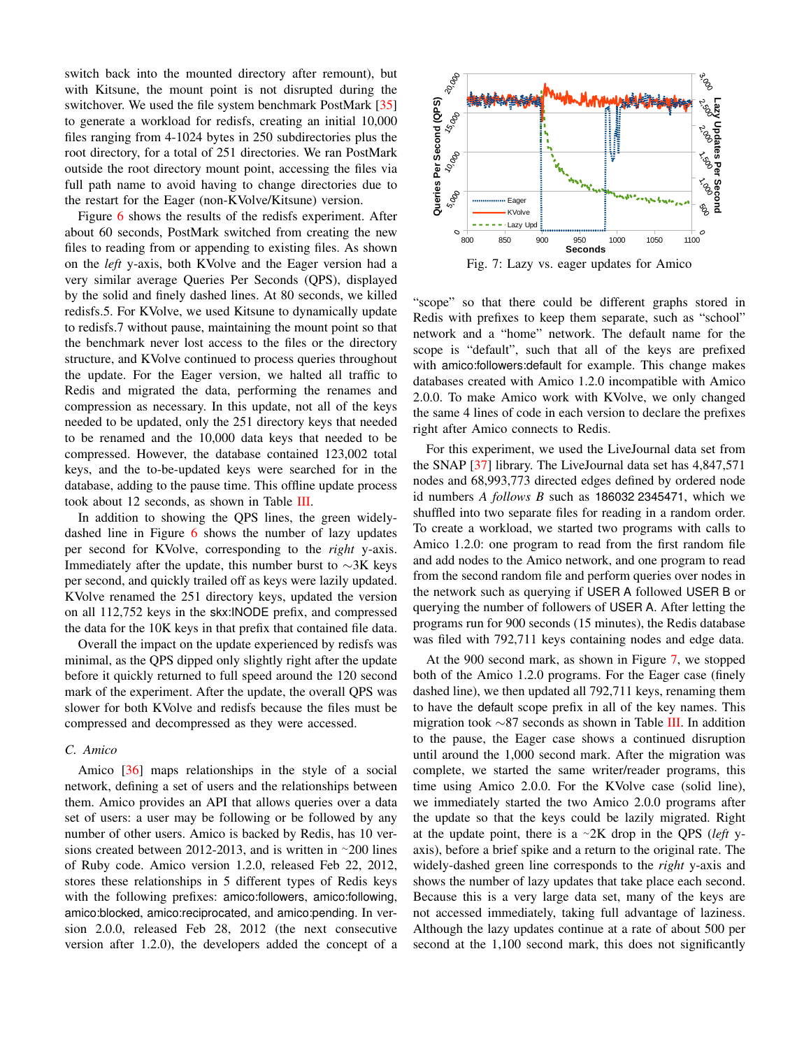switch back into the mounted directory after remount), but with Kitsune, the mount point is not disrupted during the switchover. We used the file system benchmark PostMark [\[35\]](#page-10-34) to generate a workload for redisfs, creating an initial 10,000 files ranging from 4-1024 bytes in 250 subdirectories plus the root directory, for a total of 251 directories. We ran PostMark outside the root directory mount point, accessing the files via full path name to avoid having to change directories due to the restart for the Eager (non-KVolve/Kitsune) version.

Figure [6](#page-7-3) shows the results of the redisfs experiment. After about 60 seconds, PostMark switched from creating the new files to reading from or appending to existing files. As shown on the *left* y-axis, both KVolve and the Eager version had a very similar average Queries Per Seconds (QPS), displayed by the solid and finely dashed lines. At 80 seconds, we killed redisfs.5. For KVolve, we used Kitsune to dynamically update to redisfs.7 without pause, maintaining the mount point so that the benchmark never lost access to the files or the directory structure, and KVolve continued to process queries throughout the update. For the Eager version, we halted all traffic to Redis and migrated the data, performing the renames and compression as necessary. In this update, not all of the keys needed to be updated, only the 251 directory keys that needed to be renamed and the 10,000 data keys that needed to be compressed. However, the database contained 123,002 total keys, and the to-be-updated keys were searched for in the database, adding to the pause time. This offline update process took about 12 seconds, as shown in Table [III.](#page-9-0)

In addition to showing the QPS lines, the green widelydashed line in Figure [6](#page-7-3) shows the number of lazy updates per second for KVolve, corresponding to the *right* y-axis. Immediately after the update, this number burst to  $\sim$ 3K keys per second, and quickly trailed off as keys were lazily updated. KVolve renamed the 251 directory keys, updated the version on all 112,752 keys in the skx:INODE prefix, and compressed the data for the 10K keys in that prefix that contained file data.

Overall the impact on the update experienced by redisfs was minimal, as the QPS dipped only slightly right after the update before it quickly returned to full speed around the 120 second mark of the experiment. After the update, the overall QPS was slower for both KVolve and redisfs because the files must be compressed and decompressed as they were accessed.

## <span id="page-8-0"></span>*C. Amico*

Amico [\[36\]](#page-10-35) maps relationships in the style of a social network, defining a set of users and the relationships between them. Amico provides an API that allows queries over a data set of users: a user may be following or be followed by any number of other users. Amico is backed by Redis, has 10 versions created between 2012-2013, and is written in <sup>∼</sup>200 lines of Ruby code. Amico version 1.2.0, released Feb 22, 2012, stores these relationships in 5 different types of Redis keys with the following prefixes: amico:followers, amico:following, amico:blocked, amico:reciprocated, and amico:pending. In version 2.0.0, released Feb 28, 2012 (the next consecutive version after 1.2.0), the developers added the concept of a

<span id="page-8-1"></span>

"scope" so that there could be different graphs stored in Redis with prefixes to keep them separate, such as "school" network and a "home" network. The default name for the scope is "default", such that all of the keys are prefixed with amico:followers:default for example. This change makes databases created with Amico 1.2.0 incompatible with Amico 2.0.0. To make Amico work with KVolve, we only changed the same 4 lines of code in each version to declare the prefixes right after Amico connects to Redis.

For this experiment, we used the LiveJournal data set from the SNAP [\[37\]](#page-10-36) library. The LiveJournal data set has 4,847,571 nodes and 68,993,773 directed edges defined by ordered node id numbers *A follows B* such as 186032 2345471, which we shuffled into two separate files for reading in a random order. To create a workload, we started two programs with calls to Amico 1.2.0: one program to read from the first random file and add nodes to the Amico network, and one program to read from the second random file and perform queries over nodes in the network such as querying if USER A followed USER B or querying the number of followers of USER A. After letting the programs run for 900 seconds (15 minutes), the Redis database was filed with 792,711 keys containing nodes and edge data.

At the 900 second mark, as shown in Figure [7,](#page-8-1) we stopped both of the Amico 1.2.0 programs. For the Eager case (finely dashed line), we then updated all 792,711 keys, renaming them to have the default scope prefix in all of the key names. This migration took ∼87 seconds as shown in Table [III.](#page-9-0) In addition to the pause, the Eager case shows a continued disruption until around the 1,000 second mark. After the migration was complete, we started the same writer/reader programs, this time using Amico 2.0.0. For the KVolve case (solid line), we immediately started the two Amico 2.0.0 programs after the update so that the keys could be lazily migrated. Right at the update point, there is a <sup>∼</sup>2K drop in the QPS (*left* yaxis), before a brief spike and a return to the original rate. The widely-dashed green line corresponds to the *right* y-axis and shows the number of lazy updates that take place each second. Because this is a very large data set, many of the keys are not accessed immediately, taking full advantage of laziness. Although the lazy updates continue at a rate of about 500 per second at the 1,100 second mark, this does not significantly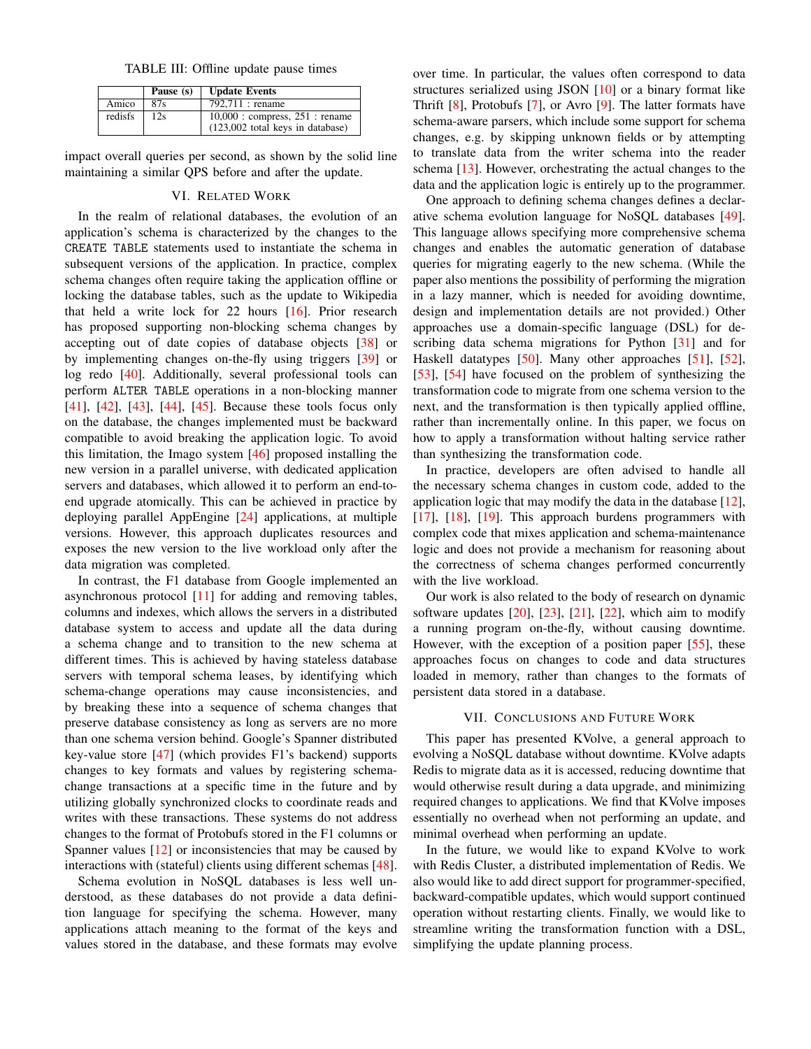TABLE III: Offline update pause times

<span id="page-9-0"></span>

|         | Pause (s) | <b>Update Events</b>                                                      |
|---------|-----------|---------------------------------------------------------------------------|
| Amico   | 87s       | 792,711 : rename                                                          |
| redisfs | 12s       | $10,000$ : compress, $251$ : rename<br>$(123,002$ total keys in database) |

impact overall queries per second, as shown by the solid line maintaining a similar QPS before and after the update.

## VI. RELATED WORK

In the realm of relational databases, the evolution of an application's schema is characterized by the changes to the CREATE TABLE statements used to instantiate the schema in subsequent versions of the application. In practice, complex schema changes often require taking the application offline or locking the database tables, such as the update to Wikipedia that held a write lock for 22 hours [\[16\]](#page-10-15). Prior research has proposed supporting non-blocking schema changes by accepting out of date copies of database objects [\[38\]](#page-10-37) or by implementing changes on-the-fly using triggers [\[39\]](#page-10-38) or log redo [\[40\]](#page-10-39). Additionally, several professional tools can perform ALTER TABLE operations in a non-blocking manner [\[41\]](#page-10-40), [\[42\]](#page-10-41), [\[43\]](#page-10-42), [\[44\]](#page-10-43), [\[45\]](#page-10-44). Because these tools focus only on the database, the changes implemented must be backward compatible to avoid breaking the application logic. To avoid this limitation, the Imago system [\[46\]](#page-10-45) proposed installing the new version in a parallel universe, with dedicated application servers and databases, which allowed it to perform an end-toend upgrade atomically. This can be achieved in practice by deploying parallel AppEngine [\[24\]](#page-10-23) applications, at multiple versions. However, this approach duplicates resources and exposes the new version to the live workload only after the data migration was completed.

In contrast, the F1 database from Google implemented an asynchronous protocol [\[11\]](#page-10-10) for adding and removing tables, columns and indexes, which allows the servers in a distributed database system to access and update all the data during a schema change and to transition to the new schema at different times. This is achieved by having stateless database servers with temporal schema leases, by identifying which schema-change operations may cause inconsistencies, and by breaking these into a sequence of schema changes that preserve database consistency as long as servers are no more than one schema version behind. Google's Spanner distributed key-value store [\[47\]](#page-10-46) (which provides F1's backend) supports changes to key formats and values by registering schemachange transactions at a specific time in the future and by utilizing globally synchronized clocks to coordinate reads and writes with these transactions. These systems do not address changes to the format of Protobufs stored in the F1 columns or Spanner values [\[12\]](#page-10-11) or inconsistencies that may be caused by interactions with (stateful) clients using different schemas [\[48\]](#page-10-47).

Schema evolution in NoSQL databases is less well understood, as these databases do not provide a data definition language for specifying the schema. However, many applications attach meaning to the format of the keys and values stored in the database, and these formats may evolve over time. In particular, the values often correspond to data structures serialized using JSON [\[10\]](#page-10-9) or a binary format like Thrift [\[8\]](#page-10-7), Protobufs [\[7\]](#page-10-6), or Avro [\[9\]](#page-10-8). The latter formats have schema-aware parsers, which include some support for schema changes, e.g. by skipping unknown fields or by attempting to translate data from the writer schema into the reader schema [\[13\]](#page-10-12). However, orchestrating the actual changes to the data and the application logic is entirely up to the programmer.

One approach to defining schema changes defines a declarative schema evolution language for NoSQL databases [\[49\]](#page-10-48). This language allows specifying more comprehensive schema changes and enables the automatic generation of database queries for migrating eagerly to the new schema. (While the paper also mentions the possibility of performing the migration in a lazy manner, which is needed for avoiding downtime, design and implementation details are not provided.) Other approaches use a domain-specific language (DSL) for describing data schema migrations for Python [\[31\]](#page-10-30) and for Haskell datatypes [\[50\]](#page-10-49). Many other approaches [\[51\]](#page-10-50), [\[52\]](#page-10-51), [\[53\]](#page-10-52), [\[54\]](#page-10-53) have focused on the problem of synthesizing the transformation code to migrate from one schema version to the next, and the transformation is then typically applied offline, rather than incrementally online. In this paper, we focus on how to apply a transformation without halting service rather than synthesizing the transformation code.

In practice, developers are often advised to handle all the necessary schema changes in custom code, added to the application logic that may modify the data in the database [\[12\]](#page-10-11), [\[17\]](#page-10-16), [\[18\]](#page-10-17), [\[19\]](#page-10-18). This approach burdens programmers with complex code that mixes application and schema-maintenance logic and does not provide a mechanism for reasoning about the correctness of schema changes performed concurrently with the live workload.

Our work is also related to the body of research on dynamic software updates  $[20]$ ,  $[23]$ ,  $[21]$ ,  $[22]$ , which aim to modify a running program on-the-fly, without causing downtime. However, with the exception of a position paper [\[55\]](#page-10-54), these approaches focus on changes to code and data structures loaded in memory, rather than changes to the formats of persistent data stored in a database.

## VII. CONCLUSIONS AND FUTURE WORK

This paper has presented KVolve, a general approach to evolving a NoSQL database without downtime. KVolve adapts Redis to migrate data as it is accessed, reducing downtime that would otherwise result during a data upgrade, and minimizing required changes to applications. We find that KVolve imposes essentially no overhead when not performing an update, and minimal overhead when performing an update.

In the future, we would like to expand KVolve to work with Redis Cluster, a distributed implementation of Redis. We also would like to add direct support for programmer-specified, backward-compatible updates, which would support continued operation without restarting clients. Finally, we would like to streamline writing the transformation function with a DSL, simplifying the update planning process.